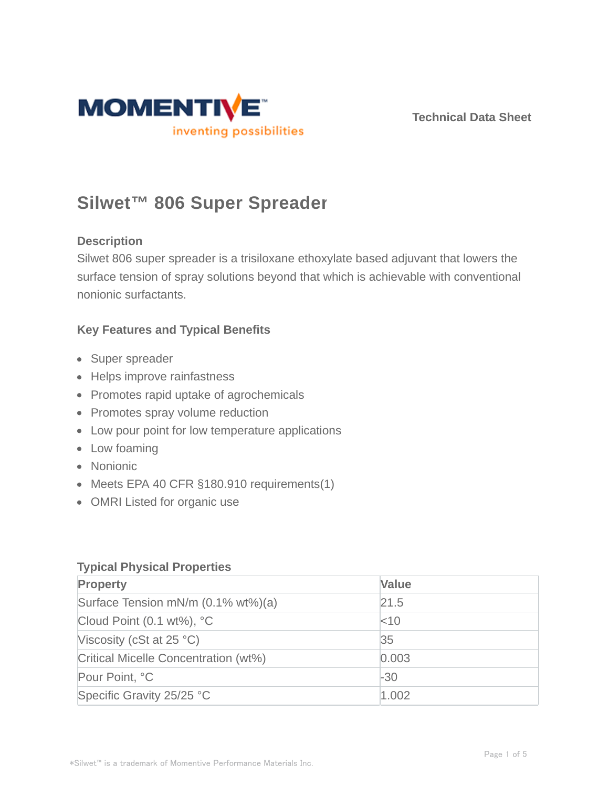

# **Silwet™ 806 Super Spreader**

# **Description**

Silwet 806 super spreader is a trisiloxane ethoxylate based adjuvant that lowers the surface tension of spray solutions beyond that which is achievable with conventional nonionic surfactants.

# **Key Features and Typical Benefits**

- Super spreader
- Helps improve rainfastness
- Promotes rapid uptake of agrochemicals
- Promotes spray volume reduction
- Low pour point for low temperature applications
- Low foaming
- Nonionic
- Meets EPA 40 CFR §180.910 requirements(1)
- OMRI Listed for organic use

## **Typical Physical Properties**

| <b>Property</b>                      | <b>Value</b> |
|--------------------------------------|--------------|
| Surface Tension mN/m (0.1% wt%)(a)   | 21.5         |
| Cloud Point $(0.1 wt\%)$ , °C        | $<$ 10       |
| Viscosity (cSt at $25 °C$ )          | 35           |
| Critical Micelle Concentration (wt%) | 0.003        |
| Pour Point, °C                       | $-30$        |
| Specific Gravity 25/25 °C            | 1.002        |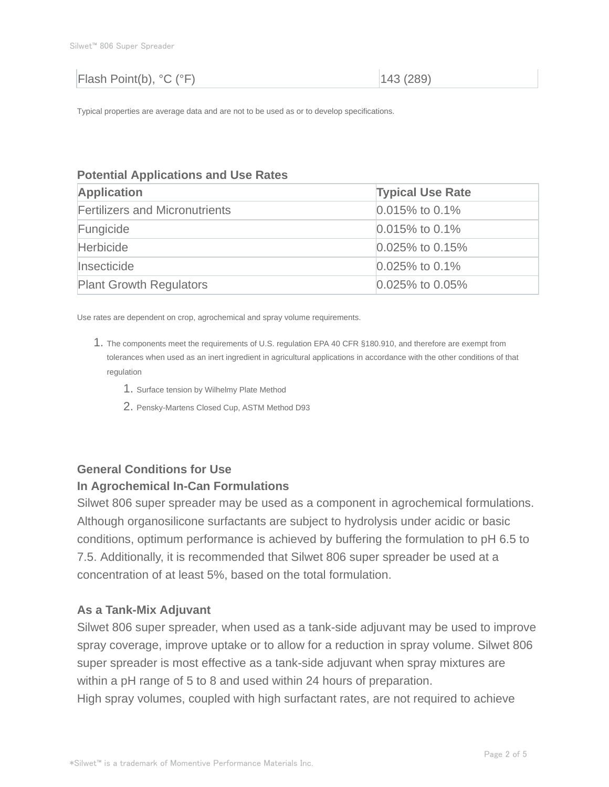| Flash Point(b), °C (°F) | 143(289) |
|-------------------------|----------|
|                         |          |

Typical properties are average data and are not to be used as or to develop specifications.

#### **Potential Applications and Use Rates**

| <b>Application</b>                    | <b>Typical Use Rate</b> |
|---------------------------------------|-------------------------|
| <b>Fertilizers and Micronutrients</b> | $0.015\%$ to 0.1%       |
| Fungicide                             | $0.015\%$ to 0.1%       |
| <b>Herbicide</b>                      | $0.025\%$ to 0.15%      |
| Insecticide                           | $0.025\%$ to 0.1%       |
| <b>Plant Growth Regulators</b>        | $0.025\%$ to 0.05%      |

Use rates are dependent on crop, agrochemical and spray volume requirements.

- 1. The components meet the requirements of U.S. regulation EPA 40 CFR §180.910, and therefore are exempt from tolerances when used as an inert ingredient in agricultural applications in accordance with the other conditions of that regulation
	- 1. Surface tension by Wilhelmy Plate Method
	- 2. Pensky-Martens Closed Cup, ASTM Method D93

# **General Conditions for Use**

#### **In Agrochemical In-Can Formulations**

Silwet 806 super spreader may be used as a component in agrochemical formulations. Although organosilicone surfactants are subject to hydrolysis under acidic or basic conditions, optimum performance is achieved by buffering the formulation to pH 6.5 to 7.5. Additionally, it is recommended that Silwet 806 super spreader be used at a concentration of at least 5%, based on the total formulation.

#### **As a Tank-Mix Adjuvant**

Silwet 806 super spreader, when used as a tank-side adjuvant may be used to improve spray coverage, improve uptake or to allow for a reduction in spray volume. Silwet 806 super spreader is most effective as a tank-side adjuvant when spray mixtures are within a pH range of 5 to 8 and used within 24 hours of preparation.

High spray volumes, coupled with high surfactant rates, are not required to achieve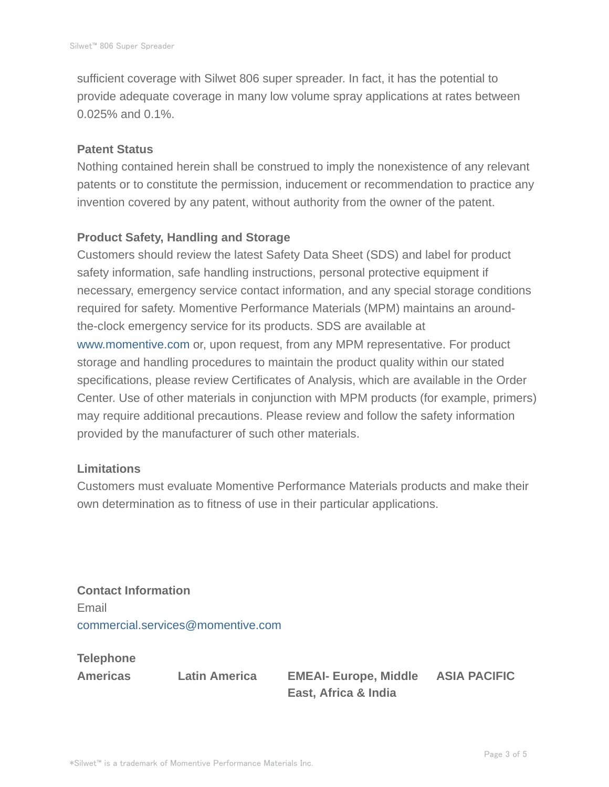sufficient coverage with Silwet 806 super spreader. In fact, it has the potential to provide adequate coverage in many low volume spray applications at rates between 0.025% and 0.1%.

#### **Patent Status**

Nothing contained herein shall be construed to imply the nonexistence of any relevant patents or to constitute the permission, inducement or recommendation to practice any invention covered by any patent, without authority from the owner of the patent.

# **Product Safety, Handling and Storage**

Customers should review the latest Safety Data Sheet (SDS) and label for product safety information, safe handling instructions, personal protective equipment if necessary, emergency service contact information, and any special storage conditions required for safety. Momentive Performance Materials (MPM) maintains an aroundthe-clock emergency service for its products. SDS are available at www.momentive.com or, upon request, from any MPM representative. For product storage and handling procedures to maintain the product quality within our stated specifications, please review Certificates of Analysis, which are available in the Order Center. Use of other materials in conjunction with MPM products (for example, primers) may require additional precautions. Please review and follow the safety information provided by the manufacturer of such other materials.

### **Limitations**

Customers must evaluate Momentive Performance Materials products and make their own determination as to fitness of use in their particular applications.

**Contact Information** Email commercial.services@momentive.com

**Telephone**

**Americas Latin America EMEAI- Europe, Middle East, Africa & India**

**ASIA PACIFIC**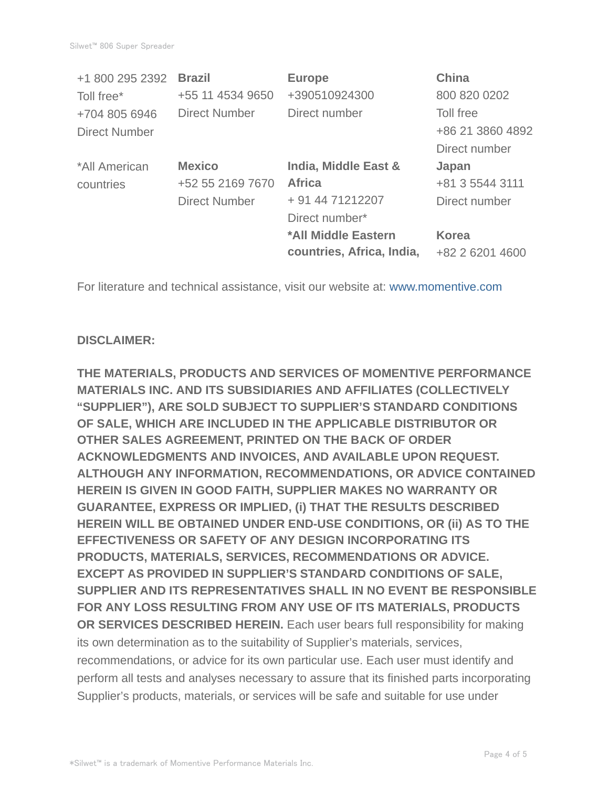| <b>Brazil</b>        | <b>Europe</b>             | <b>China</b>     |
|----------------------|---------------------------|------------------|
| +55 11 4534 9650     | +390510924300             | 800 820 0202     |
| <b>Direct Number</b> | Direct number             | Toll free        |
|                      |                           | +86 21 3860 4892 |
|                      |                           | Direct number    |
| <b>Mexico</b>        | India, Middle East &      | Japan            |
| +52 55 2169 7670     | <b>Africa</b>             | +81 3 5544 3111  |
| <b>Direct Number</b> | + 91 44 71212207          | Direct number    |
|                      | Direct number*            |                  |
|                      | *All Middle Eastern       | <b>Korea</b>     |
|                      | countries, Africa, India, | +82 2 6201 4600  |
|                      |                           |                  |

For literature and technical assistance, visit our website at: www.momentive.com

# **DISCLAIMER:**

**THE MATERIALS, PRODUCTS AND SERVICES OF MOMENTIVE PERFORMANCE MATERIALS INC. AND ITS SUBSIDIARIES AND AFFILIATES (COLLECTIVELY "SUPPLIER"), ARE SOLD SUBJECT TO SUPPLIER'S STANDARD CONDITIONS OF SALE, WHICH ARE INCLUDED IN THE APPLICABLE DISTRIBUTOR OR OTHER SALES AGREEMENT, PRINTED ON THE BACK OF ORDER ACKNOWLEDGMENTS AND INVOICES, AND AVAILABLE UPON REQUEST. ALTHOUGH ANY INFORMATION, RECOMMENDATIONS, OR ADVICE CONTAINED HEREIN IS GIVEN IN GOOD FAITH, SUPPLIER MAKES NO WARRANTY OR GUARANTEE, EXPRESS OR IMPLIED, (i) THAT THE RESULTS DESCRIBED HEREIN WILL BE OBTAINED UNDER END-USE CONDITIONS, OR (ii) AS TO THE EFFECTIVENESS OR SAFETY OF ANY DESIGN INCORPORATING ITS PRODUCTS, MATERIALS, SERVICES, RECOMMENDATIONS OR ADVICE. EXCEPT AS PROVIDED IN SUPPLIER'S STANDARD CONDITIONS OF SALE, SUPPLIER AND ITS REPRESENTATIVES SHALL IN NO EVENT BE RESPONSIBLE FOR ANY LOSS RESULTING FROM ANY USE OF ITS MATERIALS, PRODUCTS OR SERVICES DESCRIBED HEREIN.** Each user bears full responsibility for making its own determination as to the suitability of Supplier's materials, services, recommendations, or advice for its own particular use. Each user must identify and perform all tests and analyses necessary to assure that its finished parts incorporating Supplier's products, materials, or services will be safe and suitable for use under